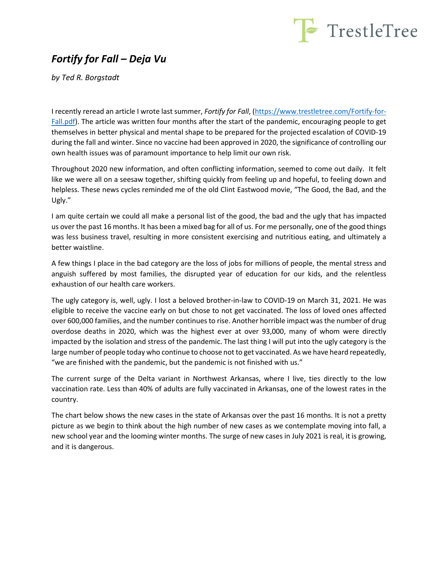

## *Fortify for Fall – Deja Vu*

*by Ted R. Borgstadt*

I recently reread an article I wrote last summer, *Fortify for Fall*, [\(https://www.trestletree.com/Fortify-for-](https://www.trestletree.com/Fortify-for-Fall.pdf)[Fall.pdf\)](https://www.trestletree.com/Fortify-for-Fall.pdf). The article was written four months after the start of the pandemic, encouraging people to get themselves in better physical and mental shape to be prepared for the projected escalation of COVID-19 during the fall and winter. Since no vaccine had been approved in 2020, the significance of controlling our own health issues was of paramount importance to help limit our own risk.

Throughout 2020 new information, and often conflicting information, seemed to come out daily. It felt like we were all on a seesaw together, shifting quickly from feeling up and hopeful, to feeling down and helpless. These news cycles reminded me of the old Clint Eastwood movie, "The Good, the Bad, and the Ugly."

I am quite certain we could all make a personal list of the good, the bad and the ugly that has impacted us over the past 16 months. It has been a mixed bag for all of us. For me personally, one of the good things was less business travel, resulting in more consistent exercising and nutritious eating, and ultimately a better waistline.

A few things I place in the bad category are the loss of jobs for millions of people, the mental stress and anguish suffered by most families, the disrupted year of education for our kids, and the relentless exhaustion of our health care workers.

The ugly category is, well, ugly. I lost a beloved brother-in-law to COVID-19 on March 31, 2021. He was eligible to receive the vaccine early on but chose to not get vaccinated. The loss of loved ones affected over 600,000 families, and the number continues to rise. Another horrible impact was the number of drug overdose deaths in 2020, which was the highest ever at over 93,000, many of whom were directly impacted by the isolation and stress of the pandemic. The last thing I will put into the ugly category is the large number of people today who continue to choose not to get vaccinated. As we have heard repeatedly, "we are finished with the pandemic, but the pandemic is not finished with us."

The current surge of the Delta variant in Northwest Arkansas, where I live, ties directly to the low vaccination rate. Less than 40% of adults are fully vaccinated in Arkansas, one of the lowest rates in the country.

The chart below shows the new cases in the state of Arkansas over the past 16 months. It is not a pretty picture as we begin to think about the high number of new cases as we contemplate moving into fall, a new school year and the looming winter months. The surge of new cases in July 2021 is real, it is growing, and it is dangerous.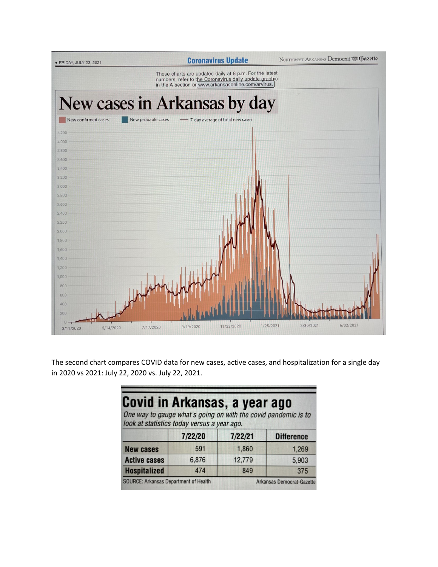

The second chart compares COVID data for new cases, active cases, and hospitalization for a single day in 2020 vs 2021: July 22, 2020 vs. July 22, 2021.

## Covid in Arkansas, a year ago

One way to gauge what's going on with the covid pandemic is to look at statistics today versus a year ago.

|                                              | 7/22/20 | 7/22/21                          | <b>Difference</b> |
|----------------------------------------------|---------|----------------------------------|-------------------|
| <b>New cases</b>                             | 591     | 1,860                            | 1.269             |
| <b>Active cases</b>                          | 6,876   | 12,779                           | 5,903             |
| <b>Hospitalized</b>                          | 474     | 849                              | 375               |
| <b>SOURCE: Arkansas Department of Health</b> |         | <b>Arkansas Democrat-Gazette</b> |                   |